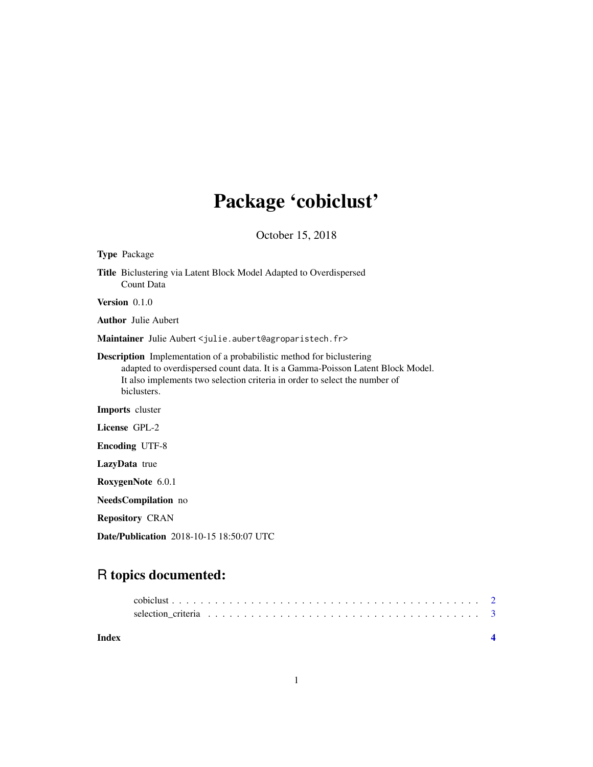## Package 'cobiclust'

October 15, 2018

<span id="page-0-0"></span>

| <b>Type Package</b>                                                                                                                                                                                                                                         |  |  |  |  |
|-------------------------------------------------------------------------------------------------------------------------------------------------------------------------------------------------------------------------------------------------------------|--|--|--|--|
| Title Biclustering via Latent Block Model Adapted to Overdispersed<br>Count Data                                                                                                                                                                            |  |  |  |  |
| Version $0.1.0$                                                                                                                                                                                                                                             |  |  |  |  |
| <b>Author</b> Julie Aubert                                                                                                                                                                                                                                  |  |  |  |  |
| Maintainer Julie Aubert < julie.aubert@agroparistech.fr>                                                                                                                                                                                                    |  |  |  |  |
| <b>Description</b> Implementation of a probabilistic method for biclustering<br>adapted to overdispersed count data. It is a Gamma-Poisson Latent Block Model.<br>It also implements two selection criteria in order to select the number of<br>biclusters. |  |  |  |  |
| <b>Imports</b> cluster                                                                                                                                                                                                                                      |  |  |  |  |
| License GPL-2                                                                                                                                                                                                                                               |  |  |  |  |
| <b>Encoding UTF-8</b>                                                                                                                                                                                                                                       |  |  |  |  |
| LazyData true                                                                                                                                                                                                                                               |  |  |  |  |
| RoxygenNote 6.0.1                                                                                                                                                                                                                                           |  |  |  |  |
| <b>NeedsCompilation</b> no                                                                                                                                                                                                                                  |  |  |  |  |
| <b>Repository CRAN</b>                                                                                                                                                                                                                                      |  |  |  |  |
|                                                                                                                                                                                                                                                             |  |  |  |  |

Date/Publication 2018-10-15 18:50:07 UTC

### R topics documented:

|       | selection criteria $\ldots \ldots \ldots \ldots \ldots \ldots \ldots \ldots \ldots \ldots \ldots \ldots \ldots$ |  |
|-------|-----------------------------------------------------------------------------------------------------------------|--|
| Index |                                                                                                                 |  |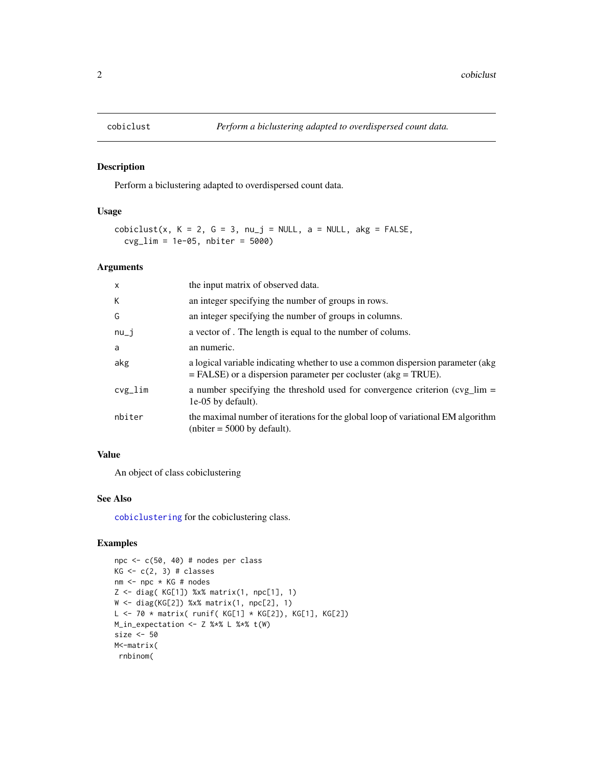<span id="page-1-0"></span>

#### Description

Perform a biclustering adapted to overdispersed count data.

#### Usage

```
cobiclust(x, K = 2, G = 3, nu_j = NULL, a = NULL, akg = FALSE,
  cvg_lim = 1e-05, nbiter = 5000)
```
#### Arguments

| $\mathsf{x}$ | the input matrix of observed data.                                                                                                                  |
|--------------|-----------------------------------------------------------------------------------------------------------------------------------------------------|
| К            | an integer specifying the number of groups in rows.                                                                                                 |
| G            | an integer specifying the number of groups in columns.                                                                                              |
| $nu_i$       | a vector of. The length is equal to the number of colums.                                                                                           |
| a            | an numeric.                                                                                                                                         |
| akg          | a logical variable indicating whether to use a common dispersion parameter (akg<br>$=$ FALSE) or a dispersion parameter per cocluster (akg = TRUE). |
| $cvg$ lim    | a number specifying the threshold used for convergence criterion $(cvg_{\text{min}} =$<br>1e-05 by default).                                        |
| nbiter       | the maximal number of iterations for the global loop of variational EM algorithm<br>(nbiter = $5000$ by default).                                   |
|              |                                                                                                                                                     |

#### Value

An object of class cobiclustering

#### See Also

[cobiclustering](#page-0-0) for the cobiclustering class.

#### Examples

```
npc <- c(50, 40) # nodes per class
KG \leftarrow c(2, 3) # classesnm <- npc * KG # nodes
Z \le - diag( KG[1]) %x% matrix(1, npc[1], 1)
W <- diag(KG[2]) %x% matrix(1, npc[2], 1)
L <- 70 * matrix( runif( KG[1] * KG[2]), KG[1], KG[2])
M_in_expectation <- Z %*% L %*% t(W)
size <- 50
M<-matrix(
rnbinom(
```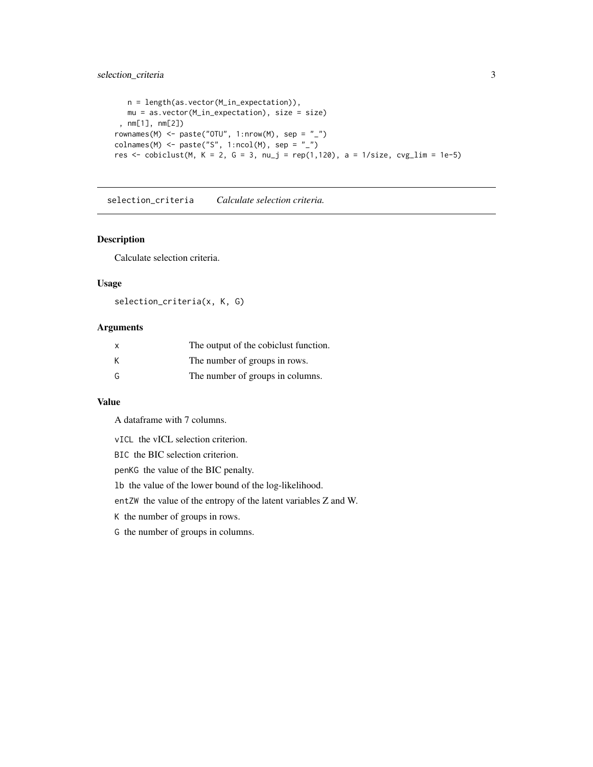#### <span id="page-2-0"></span>selection\_criteria 3

```
n = length(as.vector(M_in_expectation)),
  mu = as.vector(M_in_expectation), size = size)
 , nm[1], nm[2])
rownames(M) <- paste("OTU", 1:nrow(M), sep = "_")
colnames(M) \leq paste("S", 1:ncol(M), sep = "_")
res <- cobiclust(M, K = 2, G = 3, nu_j = rep(1,120), a = 1/size, cvg_lim = 1e-5)
```
selection\_criteria *Calculate selection criteria.*

#### Description

Calculate selection criteria.

#### Usage

```
selection_criteria(x, K, G)
```
#### Arguments

| X | The output of the cobiclust function. |
|---|---------------------------------------|
| K | The number of groups in rows.         |
| G | The number of groups in columns.      |

#### Value

A dataframe with 7 columns.

vICL the vICL selection criterion.

BIC the BIC selection criterion.

penKG the value of the BIC penalty.

lb the value of the lower bound of the log-likelihood.

entZW the value of the entropy of the latent variables Z and W.

K the number of groups in rows.

G the number of groups in columns.